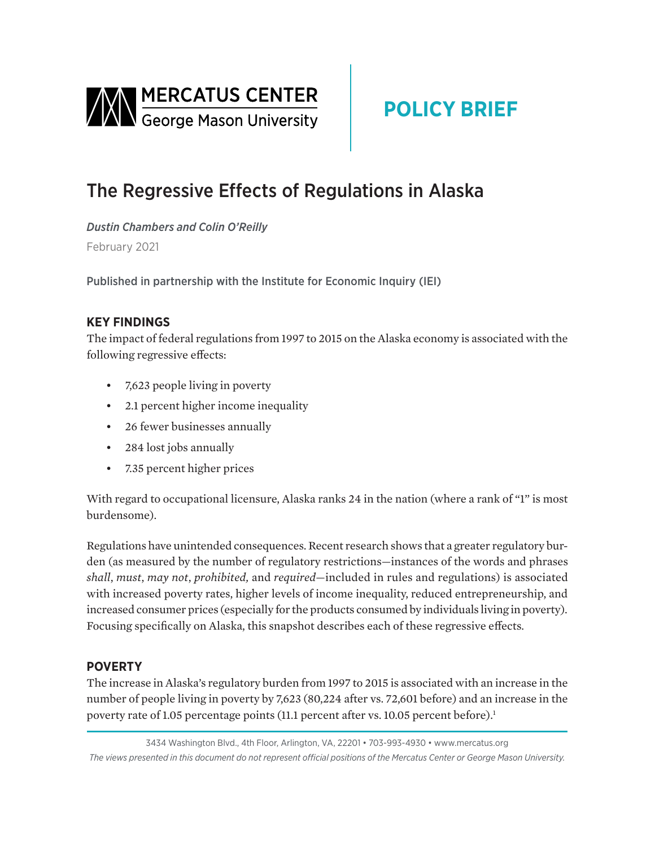<span id="page-0-0"></span>

# **POLICY BRIEF**

## The Regressive Effects of Regulations in Alaska

*Dustin Chambers and Colin O'Reilly* February 2021

Published in partnership with the Institute for Economic Inquiry (IEI)

## **KEY FINDINGS**

The impact of federal regulations from 1997 to 2015 on the Alaska economy is associated with the following regressive effects:

- 7,623 people living in poverty
- 2.1 percent higher income inequality
- 26 fewer businesses annually
- 284 lost jobs annually
- 7.35 percent higher prices

With regard to occupational licensure, Alaska ranks 24 in the nation (where a rank of "1" is most burdensome).

Regulations have unintended consequences. Recent research shows that a greater regulatory burden (as measured by the number of regulatory restrictions—instances of the words and phrases *shall*, *must*, *may not*, *prohibited,* and *required*—included in rules and regulations) is associated with increased poverty rates, higher levels of income inequality, reduced entrepreneurship, and increased consumer prices (especially for the products consumed by individuals living in poverty). Focusing specifically on Alaska, this snapshot describes each of these regressive effects.

## **POVERTY**

The increase in Alaska's regulatory burden from 1997 to 2015 is associated with an increase in the number of people living in poverty by 7,623 (80,224 after vs. 72,601 before) and an increase in the poverty rate of [1](#page-3-0).05 percentage points (11.1 percent after vs. 10.05 percent before).<sup>1</sup>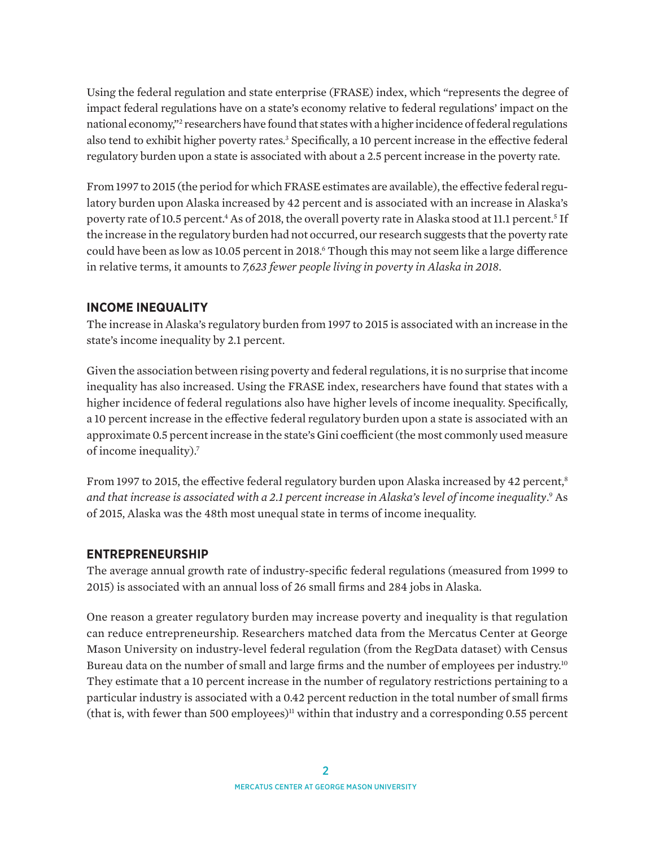<span id="page-1-0"></span>Using the federal regulation and state enterprise (FRASE) index, which "represents the degree of impact federal regulations have on a state's economy relative to federal regulations' impact on the national economy,["2](#page-3-0) researchers have found that states with a higher incidence of federal regulations also tend to exhibit higher poverty rates.<sup>3</sup> Specifically, a 10 percent increase in the effective federal regulatory burden upon a state is associated with about a 2.5 percent increase in the poverty rate.

From 1997 to 2015 (the period for which FRASE estimates are available), the effective federal regulatory burden upon Alaska increased by 42 percent and is associated with an increase in Alaska's poverty rate of 10.[5](#page-4-0) percent.<sup>4</sup> As of 2018, the overall poverty rate in Alaska stood at 11.1 percent.<sup>5</sup> If the increase in the regulatory burden had not occurred, our research suggests that the poverty rate could have been as low as 10.05 percent in 2018.<sup>6</sup> Though this may not seem like a large difference in relative terms, it amounts to *7,623 fewer people living in poverty in Alaska in 2018*.

#### **INCOME INEQUALITY**

The increase in Alaska's regulatory burden from 1997 to 2015 is associated with an increase in the state's income inequality by 2.1 percent.

Given the association between rising poverty and federal regulations, it is no surprise that income inequality has also increased. Using the FRASE index, researchers have found that states with a higher incidence of federal regulations also have higher levels of income inequality. Specifically, a 10 percent increase in the effective federal regulatory burden upon a state is associated with an approximate 0.5 percent increase in the state's Gini coefficient (the most commonly used measure of income inequality).[7](#page-4-0)

From 1997 to 2015, the effective federal regulatory burden upon Alaska increased by 42 percent,<sup>[8](#page-4-0)</sup> and that increase is associated with a 2.1 percent increase in Alaska's level of income inequality.<sup>[9](#page-4-0)</sup> As of 2015, Alaska was the 48th most unequal state in terms of income inequality.

#### **ENTREPRENEURSHIP**

The average annual growth rate of industry-specific federal regulations (measured from 1999 to 2015) is associated with an annual loss of 26 small firms and 284 jobs in Alaska.

One reason a greater regulatory burden may increase poverty and inequality is that regulation can reduce entrepreneurship. Researchers matched data from the Mercatus Center at George Mason University on industry-level federal regulation (from the RegData dataset) with Census Bureau data on the number of small and large firms and the number of employees per industry.<sup>[10](#page-4-0)</sup> They estimate that a 10 percent increase in the number of regulatory restrictions pertaining to a particular industry is associated with a 0.42 percent reduction in the total number of small firms (that is, with fewer than 500 employees)<sup>11</sup> within that industry and a corresponding 0.55 percent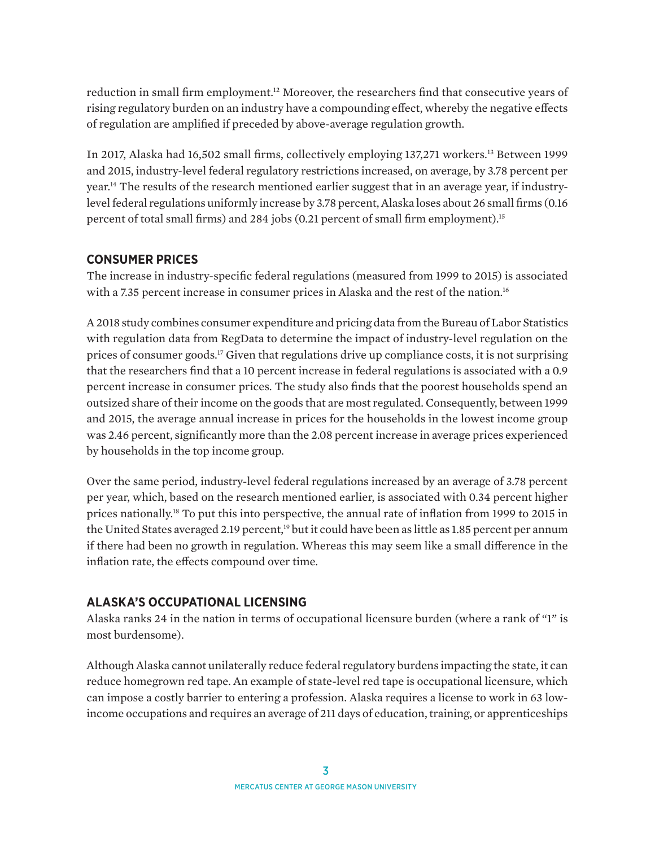<span id="page-2-0"></span>reduction in small firm employment.[12](#page-4-0) Moreover, the researchers find that consecutive years of rising regulatory burden on an industry have a compounding effect, whereby the negative effects of regulation are amplified if preceded by above-average regulation growth.

In 2017, Alaska had 16,502 small firms, collectively employing 137,271 workers.[13](#page-4-0) Between 1999 and 2015, industry-level federal regulatory restrictions increased, on average, by 3.78 percent per year[.14](#page-4-0) The results of the research mentioned earlier suggest that in an average year, if industrylevel federal regulations uniformly increase by 3.78 percent, Alaska loses about 26 small firms (0.16 percent of total small firms) and 284 jobs (0.21 percent of small firm employment).[15](#page-4-0)

## **CONSUMER PRICES**

The increase in industry-specific federal regulations (measured from 1999 to 2015) is associated with a 7.35 percent increase in consumer prices in Alaska and the rest of the nation.<sup>16</sup>

A 2018 study combines consumer expenditure and pricing data from the Bureau of Labor Statistics with regulation data from RegData to determine the impact of industry-level regulation on the prices of consumer goods[.17](#page-4-0) Given that regulations drive up compliance costs, it is not surprising that the researchers find that a 10 percent increase in federal regulations is associated with a 0.9 percent increase in consumer prices. The study also finds that the poorest households spend an outsized share of their income on the goods that are most regulated. Consequently, between 1999 and 2015, the average annual increase in prices for the households in the lowest income group was 2.46 percent, significantly more than the 2.08 percent increase in average prices experienced by households in the top income group.

Over the same period, industry-level federal regulations increased by an average of 3.78 percent per year, which, based on the research mentioned earlier, is associated with 0.34 percent higher prices nationally.[18](#page-4-0) To put this into perspective, the annual rate of inflation from 1999 to 2015 in the United States averaged 2.19 percent,<sup>19</sup> but it could have been as little as 1.85 percent per annum if there had been no growth in regulation. Whereas this may seem like a small difference in the inflation rate, the effects compound over time.

## **ALASKA'S OCCUPATIONAL LICENSING**

Alaska ranks 24 in the nation in terms of occupational licensure burden (where a rank of "1" is most burdensome).

Although Alaska cannot unilaterally reduce federal regulatory burdens impacting the state, it can reduce homegrown red tape. An example of state-level red tape is occupational licensure, which can impose a costly barrier to entering a profession. Alaska requires a license to work in 63 lowincome occupations and requires an average of 211 days of education, training, or apprenticeships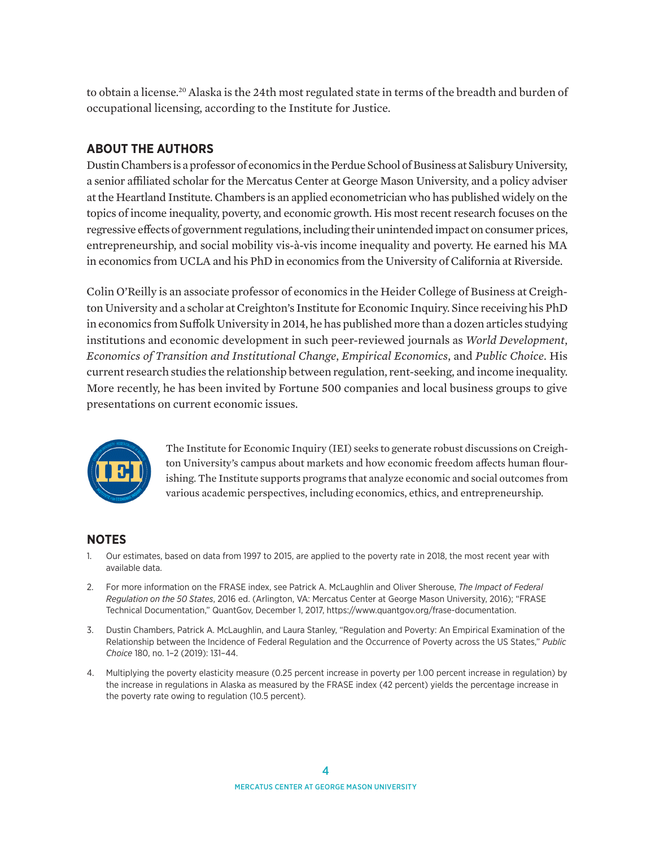<span id="page-3-0"></span>to obtain a license.<sup>20</sup> Alaska is the 24th most regulated state in terms of the breadth and burden of occupational licensing, according to the Institute for Justice.

## **ABOUT THE AUTHORS**

Dustin Chambers is a professor of economics in the Perdue School of Business at Salisbury University, a senior affiliated scholar for the Mercatus Center at George Mason University, and a policy adviser at the Heartland Institute. Chambers is an applied econometrician who has published widely on the topics of income inequality, poverty, and economic growth. His most recent research focuses on the regressive effects of government regulations, including their unintended impact on consumer prices, entrepreneurship, and social mobility vis-à-vis income inequality and poverty. He earned his MA in economics from UCLA and his PhD in economics from the University of California at Riverside.

Colin O'Reilly is an associate professor of economics in the Heider College of Business at Creighton University and a scholar at Creighton's Institute for Economic Inquiry. Since receiving his PhD in economics from Suffolk University in 2014, he has published more than a dozen articles studying institutions and economic development in such peer-reviewed journals as *World Development*, *Economics of Transition and Institutional Change*, *Empirical Economics*, and *Public Choice*. His current research studies the relationship between regulation, rent-seeking, and income inequality. More recently, he has been invited by Fortune 500 companies and local business groups to give presentations on current economic issues.



The Institute for Economic Inquiry (IEI) seeks to generate robust discussions on Creighton University's campus about markets and how economic freedom affects human flourishing. The Institute supports programs that analyze economic and social outcomes from various academic perspectives, including economics, ethics, and entrepreneurship.

### **NOTES**

- [1.](#page-0-0) Our estimates, based on data from 1997 to 2015, are applied to the poverty rate in 2018, the most recent year with available data.
- [2.](#page-1-0) For more information on the FRASE index, see Patrick A. McLaughlin and Oliver Sherouse, *The Impact of Federal Regulation on the 50 States*, 2016 ed. (Arlington, VA: Mercatus Center at George Mason University, 2016); "FRASE Technical Documentation," QuantGov, December 1, 2017, [https://www.quantgov.org/frase-documentation.](https://www.quantgov.org/frase-documentation)
- [3.](#page-1-0) Dustin Chambers, Patrick A. McLaughlin, and Laura Stanley, "Regulation and Poverty: An Empirical Examination of the Relationship between the Incidence of Federal Regulation and the Occurrence of Poverty across the US States," *Public Choice* 180, no. 1–2 (2019): 131–44.
- [4](#page-1-0). Multiplying the poverty elasticity measure (0.25 percent increase in poverty per 1.00 percent increase in regulation) by the increase in regulations in Alaska as measured by the FRASE index (42 percent) yields the percentage increase in the poverty rate owing to regulation (10.5 percent).